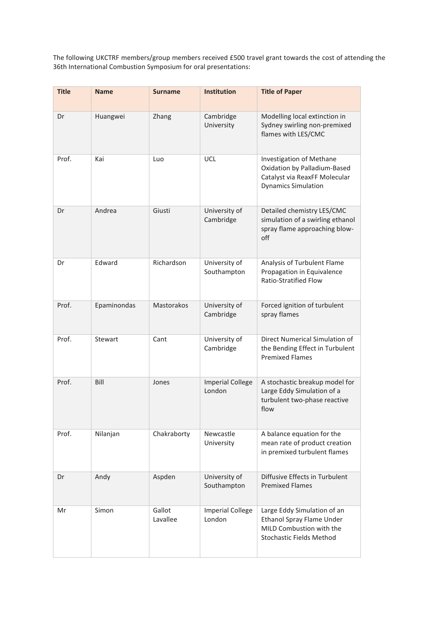The following UKCTRF members/group members received £500 travel grant towards the cost of attending the 36th International Combustion Symposium for oral presentations:

| <b>Title</b> | <b>Name</b> | <b>Surname</b>     | <b>Institution</b>                | <b>Title of Paper</b>                                                                                                          |
|--------------|-------------|--------------------|-----------------------------------|--------------------------------------------------------------------------------------------------------------------------------|
| Dr           | Huangwei    | Zhang              | Cambridge<br>University           | Modelling local extinction in<br>Sydney swirling non-premixed<br>flames with LES/CMC                                           |
| Prof.        | Kai         | Luo                | UCL                               | Investigation of Methane<br>Oxidation by Palladium-Based<br>Catalyst via ReaxFF Molecular<br><b>Dynamics Simulation</b>        |
| Dr           | Andrea      | Giusti             | University of<br>Cambridge        | Detailed chemistry LES/CMC<br>simulation of a swirling ethanol<br>spray flame approaching blow-<br>off                         |
| Dr           | Edward      | Richardson         | University of<br>Southampton      | Analysis of Turbulent Flame<br>Propagation in Equivalence<br>Ratio-Stratified Flow                                             |
| Prof.        | Epaminondas | Mastorakos         | University of<br>Cambridge        | Forced ignition of turbulent<br>spray flames                                                                                   |
| Prof.        | Stewart     | Cant               | University of<br>Cambridge        | Direct Numerical Simulation of<br>the Bending Effect in Turbulent<br><b>Premixed Flames</b>                                    |
| Prof.        | Bill        | Jones              | <b>Imperial College</b><br>London | A stochastic breakup model for<br>Large Eddy Simulation of a<br>turbulent two-phase reactive<br>flow                           |
| Prof.        | Nilanjan    | Chakraborty        | Newcastle<br>University           | A balance equation for the<br>mean rate of product creation<br>in premixed turbulent flames                                    |
| Dr           | Andy        | Aspden             | University of<br>Southampton      | Diffusive Effects in Turbulent<br><b>Premixed Flames</b>                                                                       |
| Mr           | Simon       | Gallot<br>Lavallee | <b>Imperial College</b><br>London | Large Eddy Simulation of an<br><b>Ethanol Spray Flame Under</b><br>MILD Combustion with the<br><b>Stochastic Fields Method</b> |